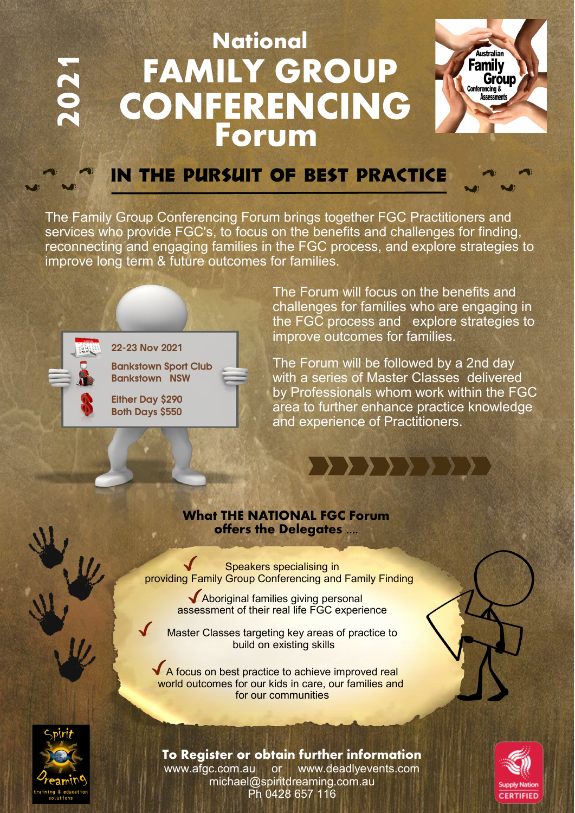## **National 2021 Forum CONFERENCING FAMILY GROUP**



## IN THE PURSUIT OF BEST PRACTICE

The Family Group Conferencing Forum brings together FGC Practitioners and services who provide FGC's, to focus on the benefits and challenges for finding, reconnecting and engaging families in the FGC process, and explore strategies to improve long term & future outcomes for families.



22-23 Nov 2021

Bankstown Sport Club Bankstown NSW

Either Day \$290 Both Days \$550

The Forum will focus on the benefits and challenges for families who are engaging in the FGC process and explore strategies to improve outcomes for families.

The Forum will be followed by a 2nd day with a series of Master Classes delivered by Professionals whom work within the FGC area to further enhance practice knowledge and experience of Practitioners.

, , , , , , ,

### **What THE NATIONAL FGC Forum offers the Delegates ....**

Speakers specialising in providing Family Group Conferencing and Family Finding

> Aboriginal families giving personal assessment of their real life FGC experience

Master Classes targeting key areas of practice to build on existing skills

A focus on best practice to achieve improved real world outcomes for our kids in care, our families and for our communities





**To Register or obtain further information** www.afgc.com.au or www.deadlyevents.com michael@spiritdreaming.com.au Ph 0428 657 116